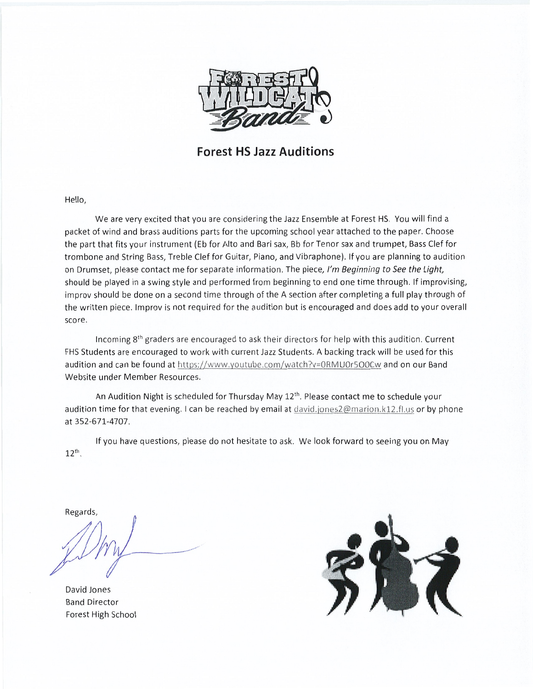

Forest HS Jazz Auditions

Hello,

We are very excited that you are considering the Jazz Ensemble at Forest HS. You will find <sup>a</sup> packet of wind and brass auditions parts for the upcoming school year attached to the paper. Choose the part that fits your instrument (Eb for Alto and Bari sax, Bb for Tenor sax and trumpet, Bass Clef for trombone and String Bass, Treble Clef for Guitar, Piano, and Vibraphone). If you are planning to audition on Drumset, please contact me for separate information. The piece, I'm Beginning to See the Light, should be played in <sup>a</sup> swing style and performed from beginning to end one time through. If improvising, improv should be done on <sup>a</sup> second time through of the <sup>A</sup> section after completing <sup>a</sup> full play through of the written piece. Improv is not required for the audition but is encouraged and does add to your overall score.

Incoming 8th graders are encouraged to ask their directors for help with this audition. Current FHS Students are encouraged to work with current Jazz Students. A backing track will be used for this audition and can be found at https://www.youtube.com/watch?v=0RMU0r5O0Cw and on our Band Website under Member Resources.

An Audition Night is scheduled for Thursday May  $12<sup>th</sup>$ . Please contact me to schedule your audition time for that evening. I can be reached by email at david.jones2@marion.k12.fl.us or by phone at 352-671-4707.

If you have questions, please do not hesitate to ask. We look forward to seeing you on May 12<sup>th</sup>.

Regards,

David Jones Band Director Forest High School

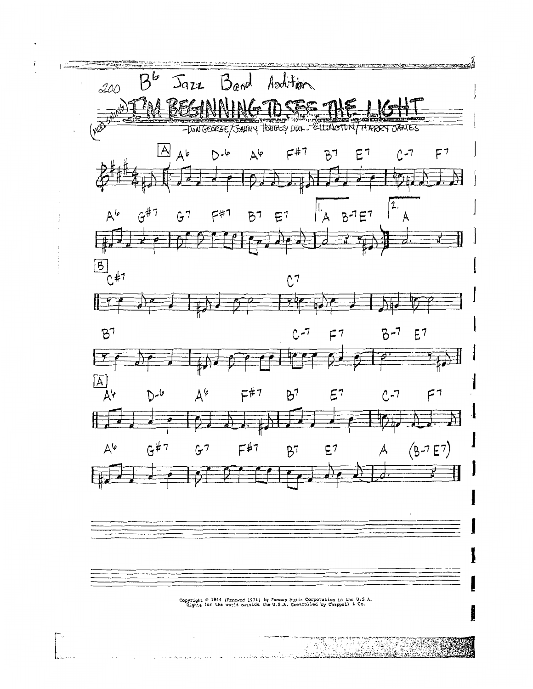

Copyright © 1944 (Renewed 1971) by Famous Husic Corporation in the U.S.A.<br>Rights for the world outside the U.S.A. Controlled by Chappell & Co.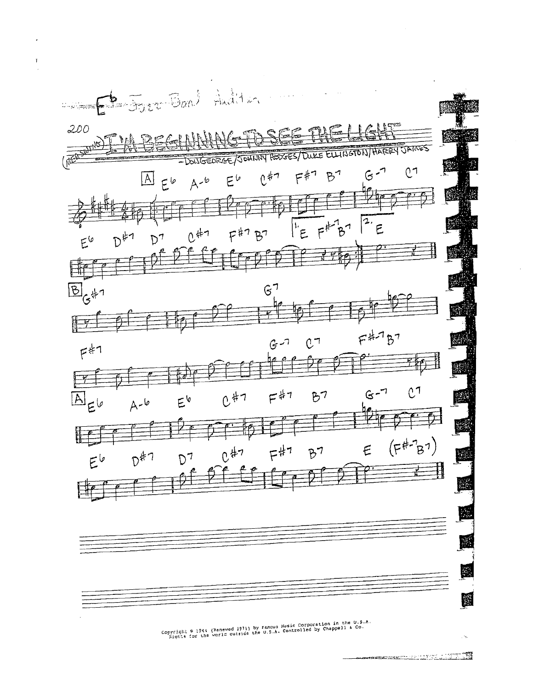

 $\mathfrak{p}$ 

Copyright © 1944 (Renewed 1971) by Famous Husic Corporation in the U.S.A.<br>Fights for the world outside the U.S.A. Controlled by Chappell & Co.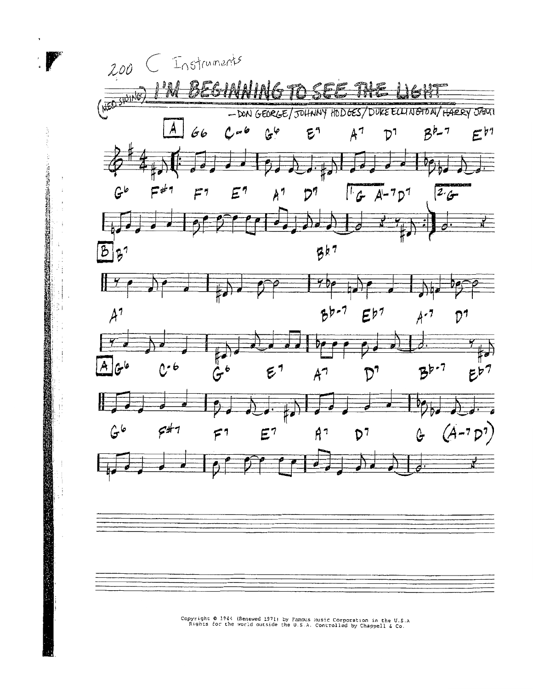

ă

Ë

Copyright © 1944 (Renewed 1971) by Famous Husic Corporation in the U.S.A<br>Rights for the world outside the U.S.A. Controlled by Chappell & Co.